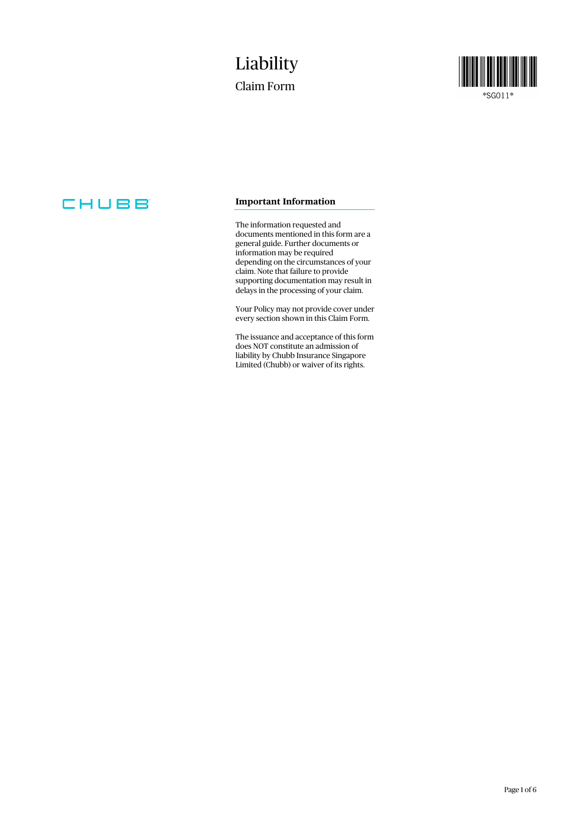## Liability Claim Form



\*SG011\*

## CHUBB

### **Important Information**

The information requested and documents mentioned in this form are a general guide. Further documents or information may be required depending on the circumstances of your claim. Note that failure to provide supporting documentation may result in delays in the processing of your claim.

Your Policy may not provide cover under every section shown in this Claim Form.

The issuance and acceptance of this form does NOT constitute an admission of liability by Chubb Insurance Singapore Limited (Chubb) or waiver of its rights.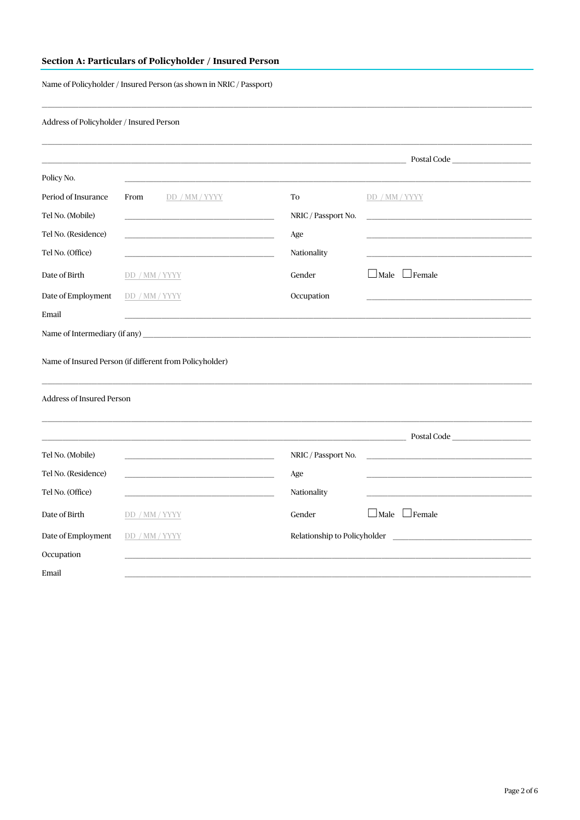## Section A: Particulars of Policyholder / Insured Person

Name of Policyholder / Insured Person (as shown in NRIC / Passport)

Address of Policyholder / Insured Person

|                           |                                                                                 | the control of the control of the control of the control of the control of the control of                                                                                                                                                                            | Postal Code               |
|---------------------------|---------------------------------------------------------------------------------|----------------------------------------------------------------------------------------------------------------------------------------------------------------------------------------------------------------------------------------------------------------------|---------------------------|
| Policy No.                |                                                                                 |                                                                                                                                                                                                                                                                      |                           |
| Period of Insurance       | From<br>DD / MM / YYYY                                                          | To                                                                                                                                                                                                                                                                   | DD / MM / YYYY            |
| Tel No. (Mobile)          |                                                                                 | NRIC / Passport No.                                                                                                                                                                                                                                                  |                           |
| Tel No. (Residence)       | the control of the control of the control of the control of the control of      | Age                                                                                                                                                                                                                                                                  |                           |
| Tel No. (Office)          |                                                                                 | Nationality                                                                                                                                                                                                                                                          |                           |
| Date of Birth             | DD / MM / YYYY                                                                  | Gender                                                                                                                                                                                                                                                               | $\Box$ Male $\Box$ Female |
| Date of Employment        | DD / MM / YYYY                                                                  | Occupation                                                                                                                                                                                                                                                           |                           |
| Email                     |                                                                                 |                                                                                                                                                                                                                                                                      |                           |
|                           |                                                                                 |                                                                                                                                                                                                                                                                      |                           |
| Address of Insured Person |                                                                                 |                                                                                                                                                                                                                                                                      |                           |
|                           |                                                                                 | the contract of the contract of the contract of the contract of the contract of                                                                                                                                                                                      | Postal Code               |
| Tel No. (Mobile)          |                                                                                 | NRIC / Passport No.                                                                                                                                                                                                                                                  |                           |
| Tel No. (Residence)       |                                                                                 | Age                                                                                                                                                                                                                                                                  |                           |
| Tel No. (Office)          | the contract of the contract of the contract of the contract of the contract of | Nationality                                                                                                                                                                                                                                                          |                           |
| Date of Birth             | DD / MM / YYYY                                                                  | Gender                                                                                                                                                                                                                                                               | $\Box$ Male $\Box$ Female |
| Date of Employment        | DD / MM / YYYY                                                                  | Relationship to Policyholder<br><u> 1989 - Jan Barnett, mars ann an t-Amhraid ann an t-Amhraid ann an t-Amhraid ann an t-Amhraid ann an t-Amhraid ann an t-Amhraid ann an t-Amhraid ann an t-Amhraid ann an t-Amhraid ann an t-Amhraid ann an t-Amhraid ann an t</u> |                           |
| Occupation                |                                                                                 |                                                                                                                                                                                                                                                                      |                           |
| Email                     |                                                                                 |                                                                                                                                                                                                                                                                      |                           |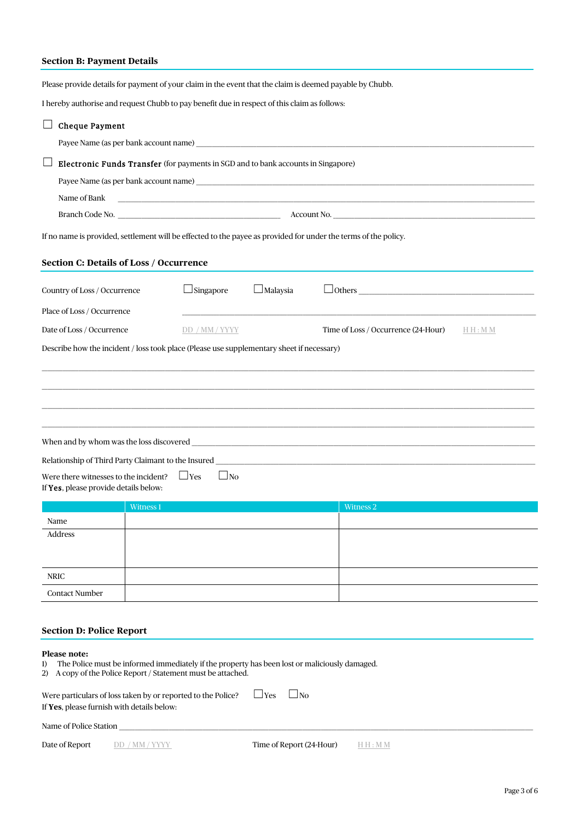## **Section B: Payment Details**

Please provide details for payment of your claim in the event that the claim is deemed payable by Chubb.

I hereby authorise and request Chubb to pay benefit due in respect of this claim as follows:

| <b>Cheque Payment</b>                                                                                                                                                                     |                                                                                                                  |                          |                                                  |  |  |  |
|-------------------------------------------------------------------------------------------------------------------------------------------------------------------------------------------|------------------------------------------------------------------------------------------------------------------|--------------------------|--------------------------------------------------|--|--|--|
|                                                                                                                                                                                           |                                                                                                                  |                          |                                                  |  |  |  |
| Electronic Funds Transfer (for payments in SGD and to bank accounts in Singapore)                                                                                                         |                                                                                                                  |                          |                                                  |  |  |  |
|                                                                                                                                                                                           |                                                                                                                  |                          |                                                  |  |  |  |
| Name of Bank                                                                                                                                                                              | and the control of the control of the control of the control of the control of the control of the control of the |                          |                                                  |  |  |  |
|                                                                                                                                                                                           |                                                                                                                  |                          |                                                  |  |  |  |
| If no name is provided, settlement will be effected to the payee as provided for under the terms of the policy.                                                                           |                                                                                                                  |                          |                                                  |  |  |  |
| Section C: Details of Loss / Occurrence                                                                                                                                                   |                                                                                                                  |                          |                                                  |  |  |  |
| Country of Loss / Occurrence                                                                                                                                                              | $\Box$ Singapore                                                                                                 | $\Box$ Malaysia          |                                                  |  |  |  |
| Place of Loss / Occurrence                                                                                                                                                                |                                                                                                                  |                          |                                                  |  |  |  |
| Date of Loss / Occurrence                                                                                                                                                                 | DD / MM / YYYY                                                                                                   |                          | Time of Loss / Occurrence (24-Hour)<br>H H : M M |  |  |  |
| Describe how the incident / loss took place (Please use supplementary sheet if necessary)                                                                                                 |                                                                                                                  |                          |                                                  |  |  |  |
|                                                                                                                                                                                           |                                                                                                                  |                          |                                                  |  |  |  |
|                                                                                                                                                                                           |                                                                                                                  |                          |                                                  |  |  |  |
|                                                                                                                                                                                           |                                                                                                                  |                          |                                                  |  |  |  |
|                                                                                                                                                                                           |                                                                                                                  |                          |                                                  |  |  |  |
|                                                                                                                                                                                           |                                                                                                                  |                          |                                                  |  |  |  |
|                                                                                                                                                                                           |                                                                                                                  |                          |                                                  |  |  |  |
|                                                                                                                                                                                           |                                                                                                                  |                          |                                                  |  |  |  |
| Were there witnesses to the incident?                                                                                                                                                     | $\Box$ Yes<br>$\Box$ No                                                                                          |                          |                                                  |  |  |  |
| If Yes, please provide details below:                                                                                                                                                     |                                                                                                                  |                          |                                                  |  |  |  |
| Witness 1                                                                                                                                                                                 |                                                                                                                  |                          | Witness 2                                        |  |  |  |
| Name                                                                                                                                                                                      |                                                                                                                  |                          |                                                  |  |  |  |
| Address                                                                                                                                                                                   |                                                                                                                  |                          |                                                  |  |  |  |
|                                                                                                                                                                                           |                                                                                                                  |                          |                                                  |  |  |  |
| <b>NRIC</b>                                                                                                                                                                               |                                                                                                                  |                          |                                                  |  |  |  |
| <b>Contact Number</b>                                                                                                                                                                     |                                                                                                                  |                          |                                                  |  |  |  |
|                                                                                                                                                                                           |                                                                                                                  |                          |                                                  |  |  |  |
|                                                                                                                                                                                           |                                                                                                                  |                          |                                                  |  |  |  |
| <b>Section D: Police Report</b>                                                                                                                                                           |                                                                                                                  |                          |                                                  |  |  |  |
| Please note:<br>The Police must be informed immediately if the property has been lost or maliciously damaged.<br>$\bf{1}$<br>2) A copy of the Police Report / Statement must be attached. |                                                                                                                  |                          |                                                  |  |  |  |
| Were particulars of loss taken by or reported to the Police?<br>If Yes, please furnish with details below:                                                                                |                                                                                                                  | $\Box$ Yes<br>$\Box$ No  |                                                  |  |  |  |
| Name of Police Station                                                                                                                                                                    |                                                                                                                  |                          |                                                  |  |  |  |
| Date of Report<br>DD / MM / YYYY                                                                                                                                                          |                                                                                                                  | Time of Report (24-Hour) | H H : M M                                        |  |  |  |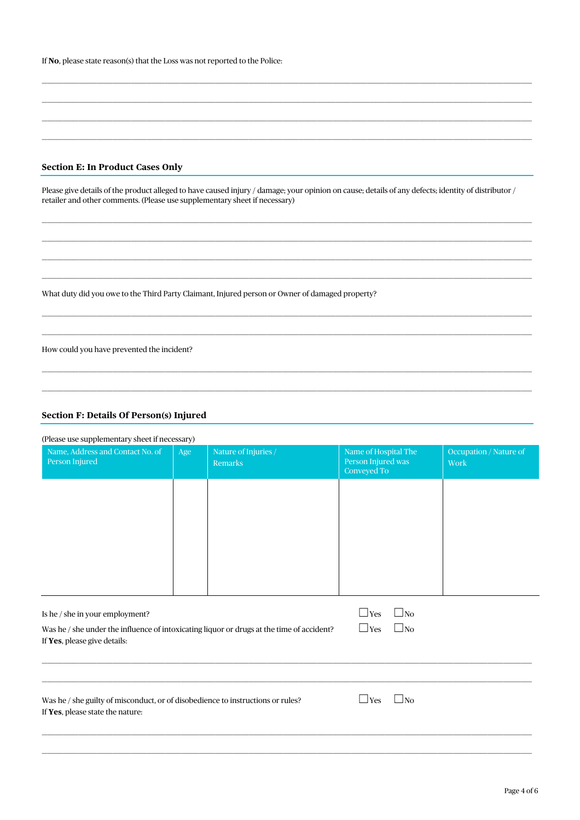| If <b>No</b> , please state reason(s) that the Loss was not reported to the Police: |  |
|-------------------------------------------------------------------------------------|--|
|-------------------------------------------------------------------------------------|--|

### **Section E: In Product Cases Only**

Please give details of the product alleged to have caused injury / damage; your opinion on cause; details of any defects; identity of distributor / retailer and other comments. (Please use supplementary sheet if necessary)

What duty did you owe to the Third Party Claimant, Injured person or Owner of damaged property?

How could you have prevented the incident?

#### Section F: Details Of Person(s) Injured

|  | $\Omega$ and $\Omega$ are $\Omega$ and $\Omega$ are $\Omega$ and $\Omega$ are $\Omega$ and $\Omega$ and $\Omega$ |
|--|------------------------------------------------------------------------------------------------------------------|

| Name, Address and Contact No. of<br>Person Injured                                                                        | Age | Nature of Injuries /<br><b>Remarks</b> | Name of Hospital The<br>Person Injured was<br>Conveyed To | Occupation / Nature of<br>Work |
|---------------------------------------------------------------------------------------------------------------------------|-----|----------------------------------------|-----------------------------------------------------------|--------------------------------|
|                                                                                                                           |     |                                        |                                                           |                                |
|                                                                                                                           |     |                                        |                                                           |                                |
|                                                                                                                           |     |                                        |                                                           |                                |
|                                                                                                                           |     |                                        |                                                           |                                |
| Is he / she in your employment?                                                                                           |     |                                        | $\Box$ Yes<br>$\Box$ No                                   |                                |
| Was he / she under the influence of intoxicating liquor or drugs at the time of accident?<br>If Yes, please give details: |     |                                        | $\square$ No<br>$\Box$ Yes                                |                                |
|                                                                                                                           |     |                                        |                                                           |                                |
| Was he / she guilty of misconduct, or of disobedience to instructions or rules?<br>If Yes, please state the nature:       |     |                                        | $\Box$ No<br>$\Box$ Yes                                   |                                |
|                                                                                                                           |     |                                        |                                                           |                                |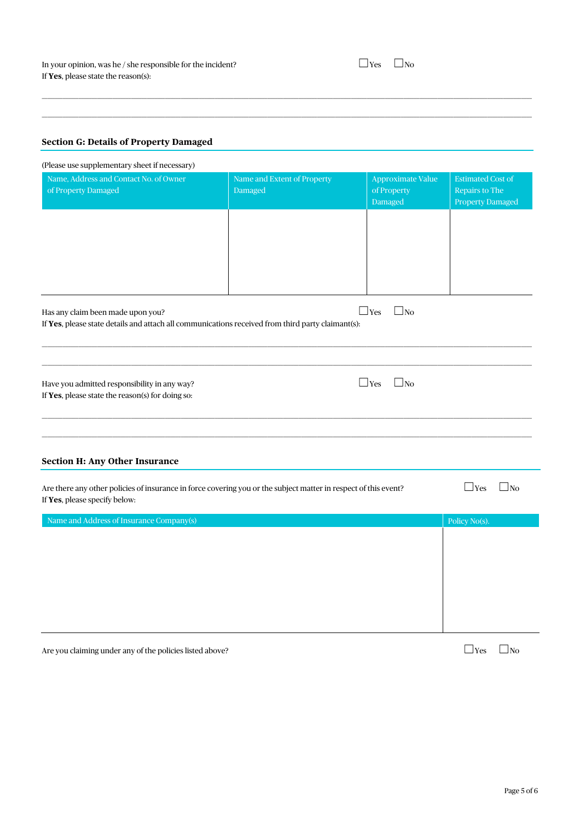## **Section G: Details of Property Damaged**

| (Please use supplementary sheet if necessary)                                                                                                    |                                        |                                             |                                                                       |
|--------------------------------------------------------------------------------------------------------------------------------------------------|----------------------------------------|---------------------------------------------|-----------------------------------------------------------------------|
| Name, Address and Contact No. of Owner<br>of Property Damaged                                                                                    | Name and Extent of Property<br>Damaged | Approximate Value<br>of Property<br>Damaged | <b>Estimated Cost of</b><br>Repairs to The<br><b>Property Damaged</b> |
| Has any claim been made upon you?<br>If Yes, please state details and attach all communications received from third party claimant(s):           |                                        | $\Box$ Yes<br>$\square$ No                  |                                                                       |
| Have you admitted responsibility in any way?<br>If Yes, please state the reason(s) for doing so:                                                 |                                        | $\Box$ Yes<br>$\Box$ No                     |                                                                       |
| <b>Section H: Any Other Insurance</b>                                                                                                            |                                        |                                             |                                                                       |
| Are there any other policies of insurance in force covering you or the subject matter in respect of this event?<br>If Yes, please specify below: |                                        |                                             | $\Box$ Yes<br>$\square$ No                                            |
| Name and Address of Insurance Company(s)                                                                                                         |                                        |                                             | Policy No(s).                                                         |
|                                                                                                                                                  |                                        |                                             |                                                                       |

 $\_$  , and the state of the state of the state of the state of the state of the state of the state of the state of the state of the state of the state of the state of the state of the state of the state of the state of the  $\_$  , and the state of the state of the state of the state of the state of the state of the state of the state of the state of the state of the state of the state of the state of the state of the state of the state of the

Are you claiming under any of the policies listed above?  $\Box$  Yes  $\Box$  Yes  $\Box$  No